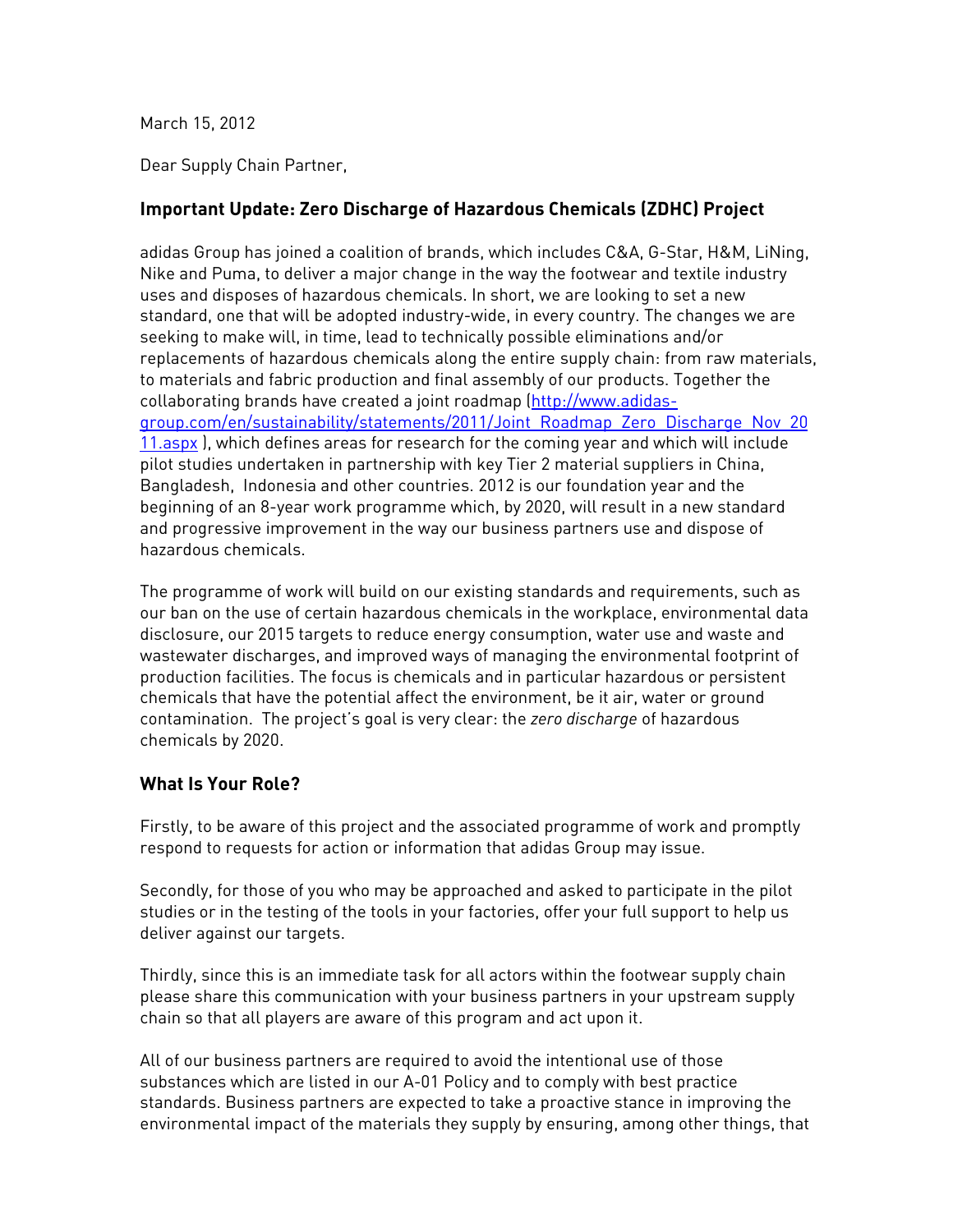March 15, 2012

Dear Supply Chain Partner,

## **Important Update: Zero Discharge of Hazardous Chemicals (ZDHC) Project**

adidas Group has joined a coalition of brands, which includes C&A, G-Star, H&M, LiNing, Nike and Puma, to deliver a major change in the way the footwear and textile industry uses and disposes of hazardous chemicals. In short, we are looking to set a new standard, one that will be adopted industry-wide, in every country. The changes we are seeking to make will, in time, lead to technically possible eliminations and/or replacements of hazardous chemicals along the entire supply chain: from raw materials, to materials and fabric production and final assembly of our products. Together the collaborating brands have created a joint roadmap (http://www.adidasgroup.com/en/sustainability/statements/2011/Joint\_Roadmap\_Zero\_Discharge\_Nov\_20 11.aspx ), which defines areas for research for the coming year and which will include pilot studies undertaken in partnership with key Tier 2 material suppliers in China, Bangladesh, Indonesia and other countries. 2012 is our foundation year and the beginning of an 8-year work programme which, by 2020, will result in a new standard and progressive improvement in the way our business partners use and dispose of hazardous chemicals.

The programme of work will build on our existing standards and requirements, such as our ban on the use of certain hazardous chemicals in the workplace, environmental data disclosure, our 2015 targets to reduce energy consumption, water use and waste and wastewater discharges, and improved ways of managing the environmental footprint of production facilities. The focus is chemicals and in particular hazardous or persistent chemicals that have the potential affect the environment, be it air, water or ground contamination. The project's goal is very clear: the *zero discharge* of hazardous chemicals by 2020.

# **What Is Your Role?**

Firstly, to be aware of this project and the associated programme of work and promptly respond to requests for action or information that adidas Group may issue.

Secondly, for those of you who may be approached and asked to participate in the pilot studies or in the testing of the tools in your factories, offer your full support to help us deliver against our targets.

Thirdly, since this is an immediate task for all actors within the footwear supply chain please share this communication with your business partners in your upstream supply chain so that all players are aware of this program and act upon it.

All of our business partners are required to avoid the intentional use of those substances which are listed in our A-01 Policy and to comply with best practice standards. Business partners are expected to take a proactive stance in improving the environmental impact of the materials they supply by ensuring, among other things, that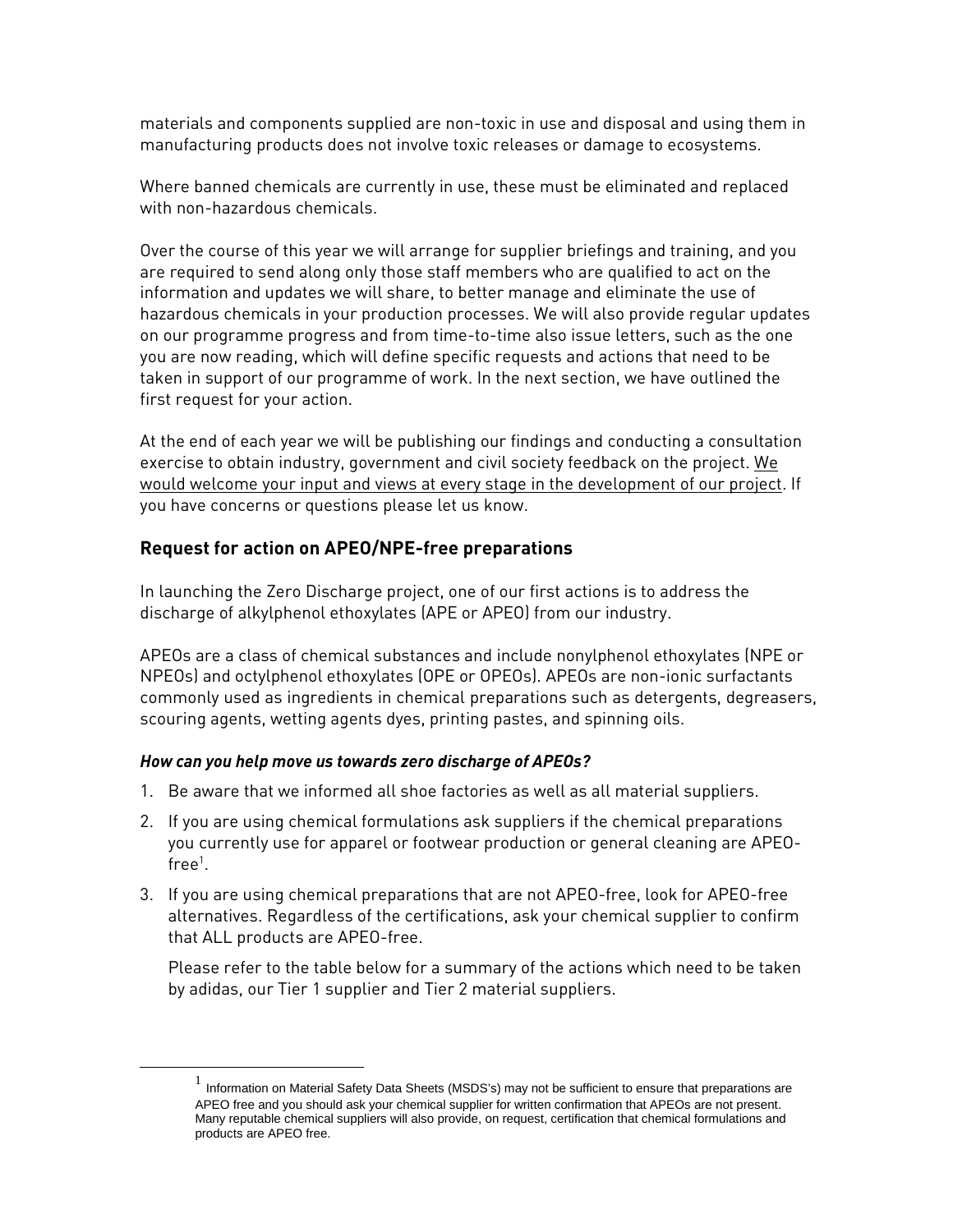materials and components supplied are non-toxic in use and disposal and using them in manufacturing products does not involve toxic releases or damage to ecosystems.

Where banned chemicals are currently in use, these must be eliminated and replaced with non-hazardous chemicals.

Over the course of this year we will arrange for supplier briefings and training, and you are required to send along only those staff members who are qualified to act on the information and updates we will share, to better manage and eliminate the use of hazardous chemicals in your production processes. We will also provide regular updates on our programme progress and from time-to-time also issue letters, such as the one you are now reading, which will define specific requests and actions that need to be taken in support of our programme of work. In the next section, we have outlined the first request for your action.

At the end of each year we will be publishing our findings and conducting a consultation exercise to obtain industry, government and civil society feedback on the project. We would welcome your input and views at every stage in the development of our project. If you have concerns or questions please let us know.

### **Request for action on APEO/NPE-free preparations**

In launching the Zero Discharge project, one of our first actions is to address the discharge of alkylphenol ethoxylates (APE or APEO) from our industry.

APEOs are a class of chemical substances and include nonylphenol ethoxylates (NPE or NPEOs) and octylphenol ethoxylates (OPE or OPEOs). APEOs are non-ionic surfactants commonly used as ingredients in chemical preparations such as detergents, degreasers, scouring agents, wetting agents dyes, printing pastes, and spinning oils.

#### *How can you help move us towards zero discharge of APEOs?*

<u>.</u>

- 1. Be aware that we informed all shoe factories as well as all material suppliers.
- 2. If you are using chemical formulations ask suppliers if the chemical preparations you currently use for apparel or footwear production or general cleaning are APEO- ${\sf free}^1$ .
- 3. If you are using chemical preparations that are not APEO-free, look for APEO-free alternatives. Regardless of the certifications, ask your chemical supplier to confirm that ALL products are APEO-free.

Please refer to the table below for a summary of the actions which need to be taken by adidas, our Tier 1 supplier and Tier 2 material suppliers.

 $<sup>1</sup>$  Information on Material Safety Data Sheets (MSDS's) may not be sufficient to ensure that preparations are</sup> APEO free and you should ask your chemical supplier for written confirmation that APEOs are not present. Many reputable chemical suppliers will also provide, on request, certification that chemical formulations and products are APEO free.